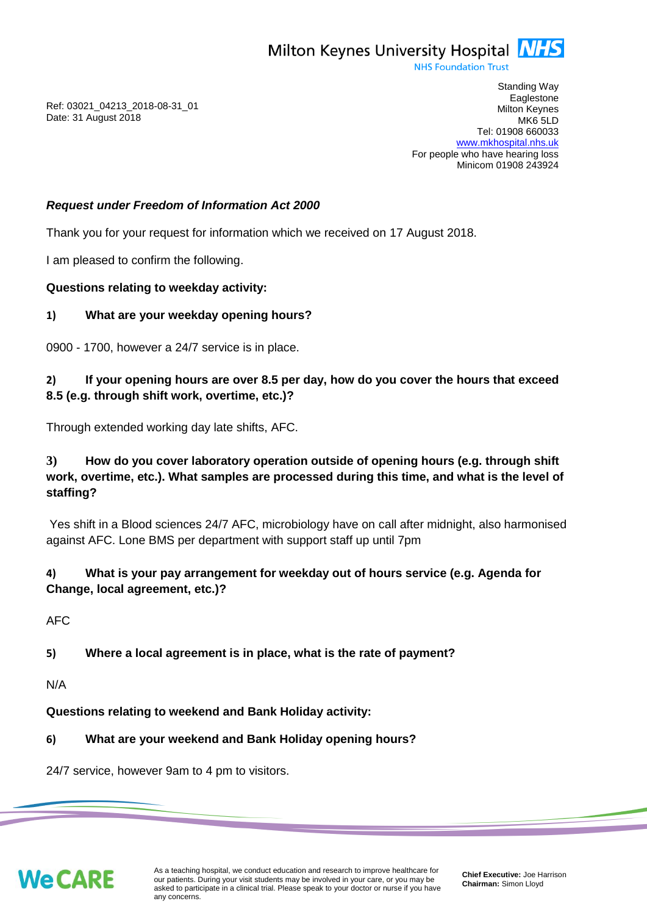

**NHS Foundation Trust** 

Ref: 03021\_04213\_2018-08-31\_01 Date: 31 August 2018

Standing Way **Eaglestone** Milton Keynes MK6 5LD Tel: 01908 660033 [www.mkhospital.nhs.uk](http://www.mkhospital.nhs.uk/) For people who have hearing loss Minicom 01908 243924

#### *Request under Freedom of Information Act 2000*

Thank you for your request for information which we received on 17 August 2018.

I am pleased to confirm the following.

#### **Questions relating to weekday activity:**

#### **1) What are your weekday opening hours?**

0900 - 1700, however a 24/7 service is in place.

# **2) If your opening hours are over 8.5 per day, how do you cover the hours that exceed 8.5 (e.g. through shift work, overtime, etc.)?**

Through extended working day late shifts, AFC.

# **3) How do you cover laboratory operation outside of opening hours (e.g. through shift work, overtime, etc.). What samples are processed during this time, and what is the level of staffing?**

Yes shift in a Blood sciences 24/7 AFC, microbiology have on call after midnight, also harmonised against AFC. Lone BMS per department with support staff up until 7pm

# **4) What is your pay arrangement for weekday out of hours service (e.g. Agenda for Change, local agreement, etc.)?**

AFC

## **5) Where a local agreement is in place, what is the rate of payment?**

N/A

**Questions relating to weekend and Bank Holiday activity:**

## **6) What are your weekend and Bank Holiday opening hours?**

24/7 service, however 9am to 4 pm to visitors.